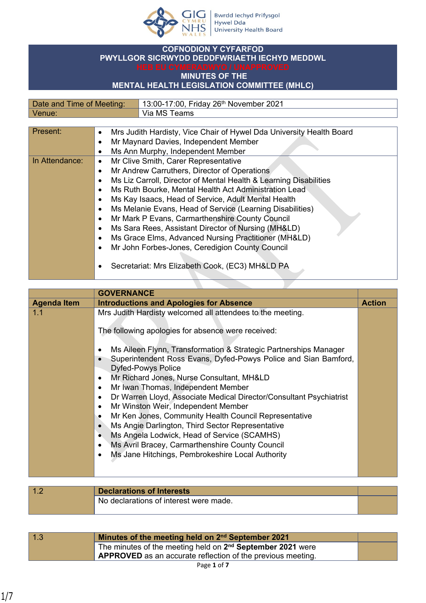

## **COFNODION Y CYFARFOD PWYLLGOR SICRWYDD DEDDFWRIAETH IECHYD MEDDWL**

## **MINUTES OF THE**

## **MENTAL HEALTH LEGISLATION COMMITTEE (MHLC)**

| Date and Time of Meeting: | 13:00-17:00, Friday 26 <sup>th</sup> November 2021 |
|---------------------------|----------------------------------------------------|
| Venue.                    | Via MS Teams                                       |

| Present:       | Mrs Judith Hardisty, Vice Chair of Hywel Dda University Health Board<br>$\bullet$ |
|----------------|-----------------------------------------------------------------------------------|
|                | Mr Maynard Davies, Independent Member<br>$\bullet$                                |
|                | Ms Ann Murphy, Independent Member<br>٠                                            |
| In Attendance: | Mr Clive Smith, Carer Representative<br>$\bullet$                                 |
|                | Mr Andrew Carruthers, Director of Operations<br>$\bullet$                         |
|                | Ms Liz Carroll, Director of Mental Health & Learning Disabilities<br>$\bullet$    |
|                | Ms Ruth Bourke, Mental Health Act Administration Lead<br>$\bullet$                |
|                | Ms Kay Isaacs, Head of Service, Adult Mental Health<br>$\bullet$                  |
|                | Ms Melanie Evans, Head of Service (Learning Disabilities)<br>$\bullet$            |
|                | Mr Mark P Evans, Carmarthenshire County Council<br>$\bullet$                      |
|                | Ms Sara Rees, Assistant Director of Nursing (MH&LD)<br>$\bullet$                  |
|                | Ms Grace Elms, Advanced Nursing Practitioner (MH&LD)<br>$\bullet$                 |
|                | Mr John Forbes-Jones, Ceredigion County Council                                   |
|                |                                                                                   |
|                | Secretariat: Mrs Elizabeth Cook, (EC3) MH&LD PA                                   |

|                    | <b>GOVERNANCE</b>                                                                                                                                                                                                                                                                                                                                                                                                                                                                                                                                                                                                                                                                                                                                                                                                                                                                               |               |
|--------------------|-------------------------------------------------------------------------------------------------------------------------------------------------------------------------------------------------------------------------------------------------------------------------------------------------------------------------------------------------------------------------------------------------------------------------------------------------------------------------------------------------------------------------------------------------------------------------------------------------------------------------------------------------------------------------------------------------------------------------------------------------------------------------------------------------------------------------------------------------------------------------------------------------|---------------|
| <b>Agenda Item</b> | <b>Introductions and Apologies for Absence</b>                                                                                                                                                                                                                                                                                                                                                                                                                                                                                                                                                                                                                                                                                                                                                                                                                                                  | <b>Action</b> |
| 1.1                | Mrs Judith Hardisty welcomed all attendees to the meeting.<br>The following apologies for absence were received:<br>Ms Aileen Flynn, Transformation & Strategic Partnerships Manager<br>$\bullet$<br>Superintendent Ross Evans, Dyfed-Powys Police and Sian Bamford,<br>$\bullet$<br><b>Dyfed-Powys Police</b><br>Mr Richard Jones, Nurse Consultant, MH&LD<br>$\bullet$<br>Mr Iwan Thomas, Independent Member<br>$\bullet$<br>Dr Warren Lloyd, Associate Medical Director/Consultant Psychiatrist<br>$\bullet$<br>Mr Winston Weir, Independent Member<br>$\bullet$<br>Mr Ken Jones, Community Health Council Representative<br>٠<br>Ms Angie Darlington, Third Sector Representative<br>$\bullet$<br>Ms Angela Lodwick, Head of Service (SCAMHS)<br>$\bullet$<br>Ms Avril Bracey, Carmarthenshire County Council<br>$\bullet$<br>Ms Jane Hitchings, Pembrokeshire Local Authority<br>$\bullet$ |               |
| 1.2                | <b>Declarations of Interests</b><br>No declarations of interest were made                                                                                                                                                                                                                                                                                                                                                                                                                                                                                                                                                                                                                                                                                                                                                                                                                       |               |

| <b>Declarations of Interests</b>       |  |
|----------------------------------------|--|
| No declarations of interest were made. |  |
|                                        |  |
|                                        |  |

| 1.3 | Minutes of the meeting held on 2 <sup>nd</sup> September 2021          |  |
|-----|------------------------------------------------------------------------|--|
|     | The minutes of the meeting held on 2 <sup>nd</sup> September 2021 were |  |
|     | $\mu$ APPROVED as an accurate reflection of the previous meeting.      |  |
|     |                                                                        |  |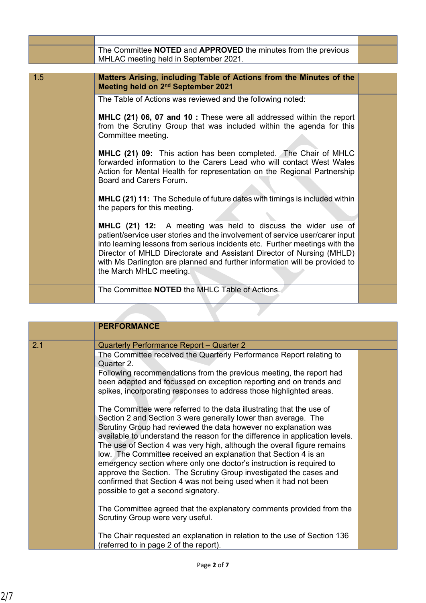|     | The Committee NOTED and APPROVED the minutes from the previous<br>MHLAC meeting held in September 2021.                                                                                                                                                                                                                                                                                                       |  |
|-----|---------------------------------------------------------------------------------------------------------------------------------------------------------------------------------------------------------------------------------------------------------------------------------------------------------------------------------------------------------------------------------------------------------------|--|
|     |                                                                                                                                                                                                                                                                                                                                                                                                               |  |
| 1.5 | Matters Arising, including Table of Actions from the Minutes of the<br>Meeting held on 2 <sup>nd</sup> September 2021                                                                                                                                                                                                                                                                                         |  |
|     | The Table of Actions was reviewed and the following noted:                                                                                                                                                                                                                                                                                                                                                    |  |
|     | MHLC (21) 06, 07 and 10 : These were all addressed within the report<br>from the Scrutiny Group that was included within the agenda for this<br>Committee meeting.                                                                                                                                                                                                                                            |  |
|     | <b>MHLC (21) 09:</b> This action has been completed. The Chair of MHLC<br>forwarded information to the Carers Lead who will contact West Wales<br>Action for Mental Health for representation on the Regional Partnership<br>Board and Carers Forum.                                                                                                                                                          |  |
|     | MHLC (21) 11: The Schedule of future dates with timings is included within<br>the papers for this meeting.                                                                                                                                                                                                                                                                                                    |  |
|     | MHLC (21) 12: A meeting was held to discuss the wider use of<br>patient/service user stories and the involvement of service user/carer input<br>into learning lessons from serious incidents etc. Further meetings with the<br>Director of MHLD Directorate and Assistant Director of Nursing (MHLD)<br>with Ms Darlington are planned and further information will be provided to<br>the March MHLC meeting. |  |
|     | The Committee <b>NOTED</b> the MHLC Table of Actions.                                                                                                                                                                                                                                                                                                                                                         |  |

|     | <b>PERFORMANCE</b>                                                                                                                                                                                                                                                                                                                                                    |  |
|-----|-----------------------------------------------------------------------------------------------------------------------------------------------------------------------------------------------------------------------------------------------------------------------------------------------------------------------------------------------------------------------|--|
| 2.1 | Quarterly Performance Report - Quarter 2                                                                                                                                                                                                                                                                                                                              |  |
|     | The Committee received the Quarterly Performance Report relating to<br>Quarter 2.                                                                                                                                                                                                                                                                                     |  |
|     | Following recommendations from the previous meeting, the report had<br>been adapted and focussed on exception reporting and on trends and<br>spikes, incorporating responses to address those highlighted areas.                                                                                                                                                      |  |
|     | The Committee were referred to the data illustrating that the use of<br>Section 2 and Section 3 were generally lower than average. The                                                                                                                                                                                                                                |  |
|     | Scrutiny Group had reviewed the data however no explanation was<br>available to understand the reason for the difference in application levels.<br>The use of Section 4 was very high, although the overall figure remains<br>low. The Committee received an explanation that Section 4 is an<br>emergency section where only one doctor's instruction is required to |  |
|     | approve the Section. The Scrutiny Group investigated the cases and<br>confirmed that Section 4 was not being used when it had not been<br>possible to get a second signatory.                                                                                                                                                                                         |  |
|     | The Committee agreed that the explanatory comments provided from the<br>Scrutiny Group were very useful.                                                                                                                                                                                                                                                              |  |
|     | The Chair requested an explanation in relation to the use of Section 136<br>(referred to in page 2 of the report).                                                                                                                                                                                                                                                    |  |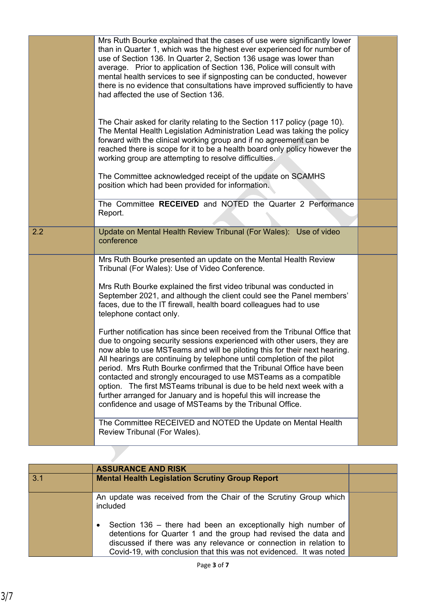|     | Mrs Ruth Bourke explained that the cases of use were significantly lower<br>than in Quarter 1, which was the highest ever experienced for number of<br>use of Section 136. In Quarter 2, Section 136 usage was lower than<br>average. Prior to application of Section 136, Police will consult with<br>mental health services to see if signposting can be conducted, however<br>there is no evidence that consultations have improved sufficiently to have<br>had affected the use of Section 136.                                                                                                                                                                |  |
|-----|--------------------------------------------------------------------------------------------------------------------------------------------------------------------------------------------------------------------------------------------------------------------------------------------------------------------------------------------------------------------------------------------------------------------------------------------------------------------------------------------------------------------------------------------------------------------------------------------------------------------------------------------------------------------|--|
|     | The Chair asked for clarity relating to the Section 117 policy (page 10).<br>The Mental Health Legislation Administration Lead was taking the policy<br>forward with the clinical working group and if no agreement can be<br>reached there is scope for it to be a health board only policy however the<br>working group are attempting to resolve difficulties.                                                                                                                                                                                                                                                                                                  |  |
|     | The Committee acknowledged receipt of the update on SCAMHS<br>position which had been provided for information.                                                                                                                                                                                                                                                                                                                                                                                                                                                                                                                                                    |  |
|     | The Committee RECEIVED and NOTED the Quarter 2 Performance<br>Report.                                                                                                                                                                                                                                                                                                                                                                                                                                                                                                                                                                                              |  |
| 2.2 | Update on Mental Health Review Tribunal (For Wales): Use of video<br>conference                                                                                                                                                                                                                                                                                                                                                                                                                                                                                                                                                                                    |  |
|     | Mrs Ruth Bourke presented an update on the Mental Health Review<br>Tribunal (For Wales): Use of Video Conference.                                                                                                                                                                                                                                                                                                                                                                                                                                                                                                                                                  |  |
|     | Mrs Ruth Bourke explained the first video tribunal was conducted in<br>September 2021, and although the client could see the Panel members'<br>faces, due to the IT firewall, health board colleagues had to use<br>telephone contact only.                                                                                                                                                                                                                                                                                                                                                                                                                        |  |
|     | Further notification has since been received from the Tribunal Office that<br>due to ongoing security sessions experienced with other users, they are<br>now able to use MSTeams and will be piloting this for their next hearing.<br>All hearings are continuing by telephone until completion of the pilot<br>period. Mrs Ruth Bourke confirmed that the Tribunal Office have been<br>contacted and strongly encouraged to use MSTeams as a compatible<br>option. The first MSTeams tribunal is due to be held next week with a<br>further arranged for January and is hopeful this will increase the<br>confidence and usage of MSTeams by the Tribunal Office. |  |
|     | The Committee RECEIVED and NOTED the Update on Mental Health<br>Review Tribunal (For Wales).                                                                                                                                                                                                                                                                                                                                                                                                                                                                                                                                                                       |  |

|     | <b>ASSURANCE AND RISK</b>                                                                                                                                                                                                                                                   |  |
|-----|-----------------------------------------------------------------------------------------------------------------------------------------------------------------------------------------------------------------------------------------------------------------------------|--|
| 3.1 | <b>Mental Health Legislation Scrutiny Group Report</b>                                                                                                                                                                                                                      |  |
|     | An update was received from the Chair of the Scrutiny Group which<br>included                                                                                                                                                                                               |  |
|     | Section 136 – there had been an exceptionally high number of<br>detentions for Quarter 1 and the group had revised the data and<br>discussed if there was any relevance or connection in relation to<br>Covid-19, with conclusion that this was not evidenced. It was noted |  |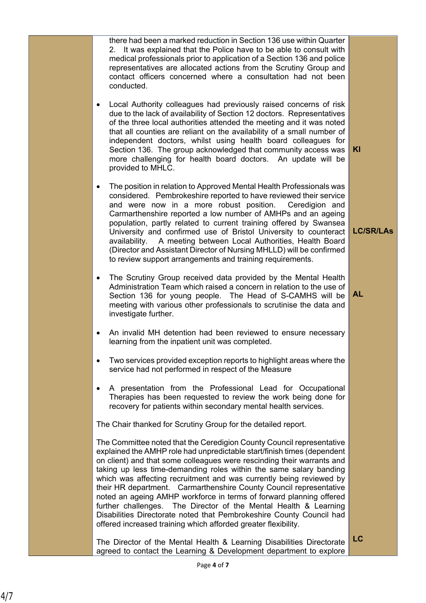there had been a marked reduction in Section 136 use within Quarter 2. It was explained that the Police have to be able to consult with medical professionals prior to application of a Section 136 and police representatives are allocated actions from the Scrutiny Group and contact officers concerned where a consultation had not been conducted.

- Local Authority colleagues had previously raised concerns of risk due to the lack of availability of Section 12 doctors. Representatives of the three local authorities attended the meeting and it was noted that all counties are reliant on the availability of a small number of independent doctors, whilst using health board colleagues for Section 136. The group acknowledged that community access was more challenging for health board doctors. An update will be provided to MHLC.
- The position in relation to Approved Mental Health Professionals was considered. Pembrokeshire reported to have reviewed their service and were now in a more robust position. Ceredigion and Carmarthenshire reported a low number of AMHPs and an ageing population, partly related to current training offered by Swansea University and confirmed use of Bristol University to counteract availability. A meeting between Local Authorities, Health Board (Director and Assistant Director of Nursing MHLLD) will be confirmed to review support arrangements and training requirements.
- The Scrutiny Group received data provided by the Mental Health Administration Team which raised a concern in relation to the use of Section 136 for young people. The Head of S-CAMHS will be meeting with various other professionals to scrutinise the data and investigate further.
- An invalid MH detention had been reviewed to ensure necessary learning from the inpatient unit was completed.
- Two services provided exception reports to highlight areas where the service had not performed in respect of the Measure
- A presentation from the Professional Lead for Occupational Therapies has been requested to review the work being done for recovery for patients within secondary mental health services.

The Chair thanked for Scrutiny Group for the detailed report.

The Committee noted that the Ceredigion County Council representative explained the AMHP role had unpredictable start/finish times (dependent on client) and that some colleagues were rescinding their warrants and taking up less time-demanding roles within the same salary banding which was affecting recruitment and was currently being reviewed by their HR department. Carmarthenshire County Council representative noted an ageing AMHP workforce in terms of forward planning offered further challenges. The Director of the Mental Health & Learning Disabilities Directorate noted that Pembrokeshire County Council had offered increased training which afforded greater flexibility.

The Director of the Mental Health & Learning Disabilities Directorate agreed to contact the Learning & Development department to explore

**KI**

**AL**

**LC/SR/LAs**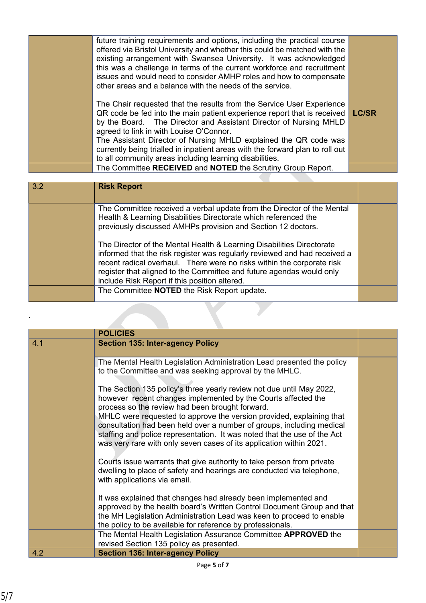| future training requirements and options, including the practical course<br>offered via Bristol University and whether this could be matched with the<br>existing arrangement with Swansea University. It was acknowledged<br>this was a challenge in terms of the current workforce and recruitment<br>issues and would need to consider AMHP roles and how to compensate<br>other areas and a balance with the needs of the service.                                           |              |
|----------------------------------------------------------------------------------------------------------------------------------------------------------------------------------------------------------------------------------------------------------------------------------------------------------------------------------------------------------------------------------------------------------------------------------------------------------------------------------|--------------|
| The Chair requested that the results from the Service User Experience<br>QR code be fed into the main patient experience report that is received<br>by the Board. The Director and Assistant Director of Nursing MHLD<br>agreed to link in with Louise O'Connor.<br>The Assistant Director of Nursing MHLD explained the QR code was<br>currently being trialled in inpatient areas with the forward plan to roll out<br>to all community areas including learning disabilities. | <b>LC/SR</b> |
| The Committee RECEIVED and NOTED the Scrutiny Group Report.                                                                                                                                                                                                                                                                                                                                                                                                                      |              |
|                                                                                                                                                                                                                                                                                                                                                                                                                                                                                  |              |

| 3.2 | <b>Risk Report</b>                                                                                                                                                                                                                                                                                                                                    |  |
|-----|-------------------------------------------------------------------------------------------------------------------------------------------------------------------------------------------------------------------------------------------------------------------------------------------------------------------------------------------------------|--|
|     | The Committee received a verbal update from the Director of the Mental<br>Health & Learning Disabilities Directorate which referenced the<br>previously discussed AMHPs provision and Section 12 doctors.                                                                                                                                             |  |
|     | The Director of the Mental Health & Learning Disabilities Directorate<br>informed that the risk register was regularly reviewed and had received a<br>recent radical overhaul. There were no risks within the corporate risk<br>register that aligned to the Committee and future agendas would only<br>include Risk Report if this position altered. |  |
|     | The Committee NOTED the Risk Report update.                                                                                                                                                                                                                                                                                                           |  |

|     | <b>POLICIES</b>                                                                                                                                                                                                                                                                                                                                                                                                                                                                              |  |
|-----|----------------------------------------------------------------------------------------------------------------------------------------------------------------------------------------------------------------------------------------------------------------------------------------------------------------------------------------------------------------------------------------------------------------------------------------------------------------------------------------------|--|
| 4.1 | <b>Section 135: Inter-agency Policy</b>                                                                                                                                                                                                                                                                                                                                                                                                                                                      |  |
|     | The Mental Health Legislation Administration Lead presented the policy<br>to the Committee and was seeking approval by the MHLC.                                                                                                                                                                                                                                                                                                                                                             |  |
|     | The Section 135 policy's three yearly review not due until May 2022,<br>however recent changes implemented by the Courts affected the<br>process so the review had been brought forward.<br>MHLC were requested to approve the version provided, explaining that<br>consultation had been held over a number of groups, including medical<br>staffing and police representation. It was noted that the use of the Act<br>was very rare with only seven cases of its application within 2021. |  |
|     | Courts issue warrants that give authority to take person from private<br>dwelling to place of safety and hearings are conducted via telephone,<br>with applications via email.                                                                                                                                                                                                                                                                                                               |  |
|     | It was explained that changes had already been implemented and<br>approved by the health board's Written Control Document Group and that<br>the MH Legislation Administration Lead was keen to proceed to enable<br>the policy to be available for reference by professionals.                                                                                                                                                                                                               |  |
|     | The Mental Health Legislation Assurance Committee APPROVED the<br>revised Section 135 policy as presented.                                                                                                                                                                                                                                                                                                                                                                                   |  |
| 4.2 | <b>Section 136: Inter-agency Policy</b>                                                                                                                                                                                                                                                                                                                                                                                                                                                      |  |

.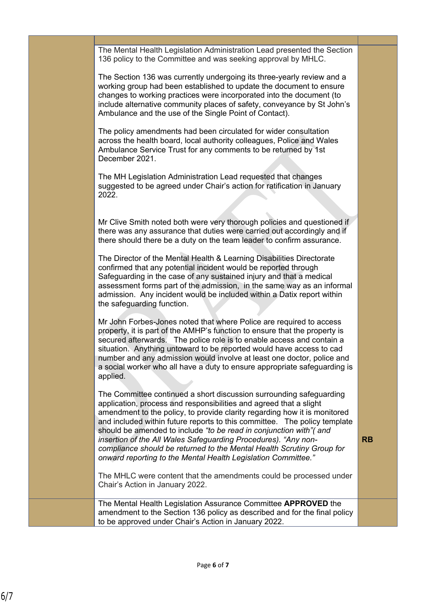The Mental Health Legislation Administration Lead presented the Section 136 policy to the Committee and was seeking approval by MHLC.

The Section 136 was currently undergoing its three-yearly review and a working group had been established to update the document to ensure changes to working practices were incorporated into the document (to include alternative community places of safety, conveyance by St John's Ambulance and the use of the Single Point of Contact).

The policy amendments had been circulated for wider consultation across the health board, local authority colleagues, Police and Wales Ambulance Service Trust for any comments to be returned by 1st December 2021.

The MH Legislation Administration Lead requested that changes suggested to be agreed under Chair's action for ratification in January 2022.

Mr Clive Smith noted both were very thorough policies and questioned if there was any assurance that duties were carried out accordingly and if there should there be a duty on the team leader to confirm assurance.

The Director of the Mental Health & Learning Disabilities Directorate confirmed that any potential incident would be reported through Safeguarding in the case of any sustained injury and that a medical assessment forms part of the admission, in the same way as an informal admission. Any incident would be included within a Datix report within the safeguarding function.

Mr John Forbes-Jones noted that where Police are required to access property, it is part of the AMHP's function to ensure that the property is secured afterwards. The police role is to enable access and contain a situation. Anything untoward to be reported would have access to cad number and any admission would involve at least one doctor, police and a social worker who all have a duty to ensure appropriate safeguarding is applied.

The Committee continued a short discussion surrounding safeguarding application, process and responsibilities and agreed that a slight amendment to the policy, to provide clarity regarding how it is monitored and included within future reports to this committee. The policy template should be amended to include *"to be read in conjunction with"( and insertion of the All Wales Safeguarding Procedures). "Any noncompliance should be returned to the Mental Health Scrutiny Group for onward reporting to the Mental Health Legislation Committee."*

**RB**

The MHLC were content that the amendments could be processed under Chair's Action in January 2022.

The Mental Health Legislation Assurance Committee **APPROVED** the amendment to the Section 136 policy as described and for the final policy to be approved under Chair's Action in January 2022.